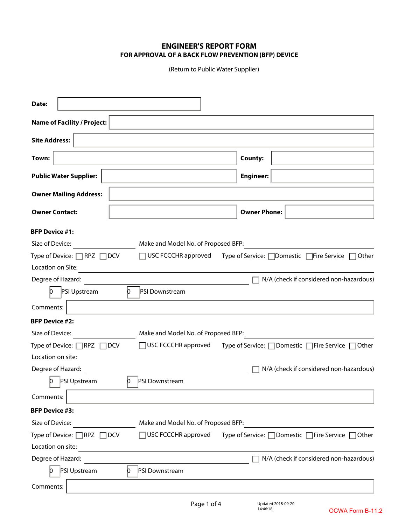## **ENGINEER'S REPORT FORM FOR APPROVAL OF A BACK FLOW PREVENTION (BFP) DEVICE**

(Return to Public Water Supplier)

| Date:                                      |                                                                            |                                                     |  |  |  |  |  |  |  |  |
|--------------------------------------------|----------------------------------------------------------------------------|-----------------------------------------------------|--|--|--|--|--|--|--|--|
| <b>Name of Facility / Project:</b>         |                                                                            |                                                     |  |  |  |  |  |  |  |  |
| <b>Site Address:</b>                       |                                                                            |                                                     |  |  |  |  |  |  |  |  |
| Town:                                      | <b>County:</b>                                                             |                                                     |  |  |  |  |  |  |  |  |
| <b>Public Water Supplier:</b>              | <b>Engineer:</b>                                                           |                                                     |  |  |  |  |  |  |  |  |
| <b>Owner Mailing Address:</b>              |                                                                            |                                                     |  |  |  |  |  |  |  |  |
| <b>Owner Contact:</b>                      | <b>Owner Phone:</b>                                                        |                                                     |  |  |  |  |  |  |  |  |
| <b>BFP Device #1:</b>                      |                                                                            |                                                     |  |  |  |  |  |  |  |  |
| Size of Device:                            | Make and Model No. of Proposed BFP:                                        |                                                     |  |  |  |  |  |  |  |  |
| Type of Device: $\Box$ RPZ<br>$\sqcap$ dcv | USC FCCCHR approved                                                        | Type of Service: □ Domestic □ Fire Service<br>Other |  |  |  |  |  |  |  |  |
| Location on Site:                          |                                                                            |                                                     |  |  |  |  |  |  |  |  |
| Degree of Hazard:                          |                                                                            | N/A (check if considered non-hazardous)             |  |  |  |  |  |  |  |  |
| PSI Upstream<br>n.                         | <b>PSI Downstream</b>                                                      |                                                     |  |  |  |  |  |  |  |  |
| Comments:                                  |                                                                            |                                                     |  |  |  |  |  |  |  |  |
| <b>BFP Device #2:</b>                      |                                                                            |                                                     |  |  |  |  |  |  |  |  |
| Size of Device:                            | Make and Model No. of Proposed BFP:                                        |                                                     |  |  |  |  |  |  |  |  |
| Type of Device: $\Box$ RPZ<br>$\sqcap$ dcv | USC FCCCHR approved<br>Type of Service: □ Domestic □ Fire Service<br>Other |                                                     |  |  |  |  |  |  |  |  |
| Location on site:                          |                                                                            |                                                     |  |  |  |  |  |  |  |  |
| Degree of Hazard:                          |                                                                            | N/A (check if considered non-hazardous)             |  |  |  |  |  |  |  |  |
| PSI Upstream<br>n.<br>n                    | <b>PSI Downstream</b>                                                      |                                                     |  |  |  |  |  |  |  |  |
| Comments:                                  |                                                                            |                                                     |  |  |  |  |  |  |  |  |
| <b>BFP Device #3:</b>                      |                                                                            |                                                     |  |  |  |  |  |  |  |  |
| Size of Device:                            | Make and Model No. of Proposed BFP:                                        |                                                     |  |  |  |  |  |  |  |  |
| Type of Device: [<br>∏RPZ<br>⊺dcv          | USC FCCCHR approved<br>Type of Service: □ Domestic □ Fire Service<br>Other |                                                     |  |  |  |  |  |  |  |  |
| Location on site:                          |                                                                            |                                                     |  |  |  |  |  |  |  |  |
| Degree of Hazard:                          |                                                                            | N/A (check if considered non-hazardous)             |  |  |  |  |  |  |  |  |
| PSI Upstream<br>D<br>D                     | PSI Downstream                                                             |                                                     |  |  |  |  |  |  |  |  |
| Comments:                                  |                                                                            |                                                     |  |  |  |  |  |  |  |  |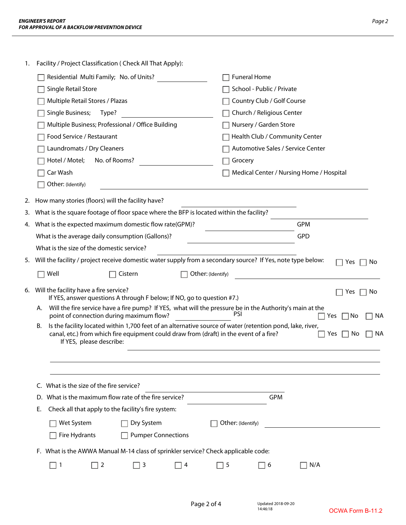| 1.                                                                                                                                                                                                                                                 | Facility / Project Classification ( Check All That Apply):                                                                                                                            |                                                                                                                            |  |  |  |  |  |  |
|----------------------------------------------------------------------------------------------------------------------------------------------------------------------------------------------------------------------------------------------------|---------------------------------------------------------------------------------------------------------------------------------------------------------------------------------------|----------------------------------------------------------------------------------------------------------------------------|--|--|--|--|--|--|
|                                                                                                                                                                                                                                                    | Residential Multi Family; No. of Units?                                                                                                                                               | <b>Funeral Home</b>                                                                                                        |  |  |  |  |  |  |
|                                                                                                                                                                                                                                                    | Single Retail Store                                                                                                                                                                   | School - Public / Private                                                                                                  |  |  |  |  |  |  |
|                                                                                                                                                                                                                                                    | Multiple Retail Stores / Plazas                                                                                                                                                       | Country Club / Golf Course                                                                                                 |  |  |  |  |  |  |
|                                                                                                                                                                                                                                                    | Single Business;<br>Type?                                                                                                                                                             | Church / Religious Center<br>Nursery / Garden Store<br>Health Club / Community Center<br>Automotive Sales / Service Center |  |  |  |  |  |  |
|                                                                                                                                                                                                                                                    | Multiple Business; Professional / Office Building                                                                                                                                     |                                                                                                                            |  |  |  |  |  |  |
|                                                                                                                                                                                                                                                    | Food Service / Restaurant                                                                                                                                                             |                                                                                                                            |  |  |  |  |  |  |
|                                                                                                                                                                                                                                                    | Laundromats / Dry Cleaners                                                                                                                                                            |                                                                                                                            |  |  |  |  |  |  |
|                                                                                                                                                                                                                                                    | No. of Rooms?<br>Hotel / Motel;                                                                                                                                                       | Grocery                                                                                                                    |  |  |  |  |  |  |
|                                                                                                                                                                                                                                                    | Car Wash                                                                                                                                                                              | Medical Center / Nursing Home / Hospital                                                                                   |  |  |  |  |  |  |
|                                                                                                                                                                                                                                                    | Other: (Identify)                                                                                                                                                                     |                                                                                                                            |  |  |  |  |  |  |
| 2.                                                                                                                                                                                                                                                 | How many stories (floors) will the facility have?                                                                                                                                     |                                                                                                                            |  |  |  |  |  |  |
|                                                                                                                                                                                                                                                    | 3. What is the square footage of floor space where the BFP is located within the facility?                                                                                            |                                                                                                                            |  |  |  |  |  |  |
|                                                                                                                                                                                                                                                    | 4. What is the expected maximum domestic flow rate(GPM)?                                                                                                                              | <b>GPM</b>                                                                                                                 |  |  |  |  |  |  |
|                                                                                                                                                                                                                                                    | What is the average daily consumption (Gallons)?                                                                                                                                      | GPD                                                                                                                        |  |  |  |  |  |  |
|                                                                                                                                                                                                                                                    | What is the size of the domestic service?                                                                                                                                             |                                                                                                                            |  |  |  |  |  |  |
|                                                                                                                                                                                                                                                    | 5. Will the facility / project receive domestic water supply from a secondary source? If Yes, note type below:                                                                        | Yes<br>No                                                                                                                  |  |  |  |  |  |  |
|                                                                                                                                                                                                                                                    | Well<br>Cistern                                                                                                                                                                       | Other: (Identify)                                                                                                          |  |  |  |  |  |  |
|                                                                                                                                                                                                                                                    | Will the facility have a fire service?                                                                                                                                                | No                                                                                                                         |  |  |  |  |  |  |
| 6.<br>Yes<br>If YES, answer questions A through F below; If NO, go to question #7.)                                                                                                                                                                |                                                                                                                                                                                       |                                                                                                                            |  |  |  |  |  |  |
|                                                                                                                                                                                                                                                    | Will the fire service have a fire pump? If YES, what will the pressure be in the Authority's main at the<br>Α.<br>PSI<br>point of connection during maximum flow?<br>ΝA<br> No<br>Yes |                                                                                                                            |  |  |  |  |  |  |
| Is the facility located within 1,700 feet of an alternative source of water (retention pond, lake, river,<br>В.<br>canal, etc.) from which fire equipment could draw from (draft) in the event of a fire?<br>Yes<br>No<br>If YES, please describe: |                                                                                                                                                                                       |                                                                                                                            |  |  |  |  |  |  |
|                                                                                                                                                                                                                                                    |                                                                                                                                                                                       |                                                                                                                            |  |  |  |  |  |  |
|                                                                                                                                                                                                                                                    |                                                                                                                                                                                       |                                                                                                                            |  |  |  |  |  |  |
|                                                                                                                                                                                                                                                    |                                                                                                                                                                                       |                                                                                                                            |  |  |  |  |  |  |
|                                                                                                                                                                                                                                                    | What is the size of the fire service?<br>C.                                                                                                                                           |                                                                                                                            |  |  |  |  |  |  |
|                                                                                                                                                                                                                                                    | What is the maximum flow rate of the fire service?<br><b>GPM</b><br>D.                                                                                                                |                                                                                                                            |  |  |  |  |  |  |
| Check all that apply to the facility's fire system:<br>Е.                                                                                                                                                                                          |                                                                                                                                                                                       |                                                                                                                            |  |  |  |  |  |  |
|                                                                                                                                                                                                                                                    | Wet System<br>Dry System                                                                                                                                                              | Other: (Identify)                                                                                                          |  |  |  |  |  |  |
|                                                                                                                                                                                                                                                    | Fire Hydrants<br><b>Pumper Connections</b>                                                                                                                                            |                                                                                                                            |  |  |  |  |  |  |
|                                                                                                                                                                                                                                                    | F. What is the AWWA Manual M-14 class of sprinkler service? Check applicable code:                                                                                                    |                                                                                                                            |  |  |  |  |  |  |
|                                                                                                                                                                                                                                                    | ]3<br>$\mathbf{1}$<br>2<br>4                                                                                                                                                          | 5<br>ヿ 6<br>N/A                                                                                                            |  |  |  |  |  |  |
|                                                                                                                                                                                                                                                    |                                                                                                                                                                                       |                                                                                                                            |  |  |  |  |  |  |
|                                                                                                                                                                                                                                                    |                                                                                                                                                                                       |                                                                                                                            |  |  |  |  |  |  |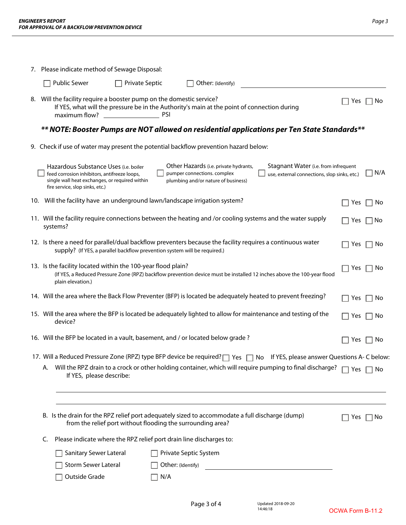|                                                                           |                                                                                                 | 7. Please indicate method of Sewage Disposal:                                                                                                                                                   |                       |     |                                                                                                             |                                                                                                                                  |     |            |  |  |  |  |  |
|---------------------------------------------------------------------------|-------------------------------------------------------------------------------------------------|-------------------------------------------------------------------------------------------------------------------------------------------------------------------------------------------------|-----------------------|-----|-------------------------------------------------------------------------------------------------------------|----------------------------------------------------------------------------------------------------------------------------------|-----|------------|--|--|--|--|--|
|                                                                           |                                                                                                 | <b>Public Sewer</b>                                                                                                                                                                             | <b>Private Septic</b> |     | Other: (Identify)                                                                                           |                                                                                                                                  |     |            |  |  |  |  |  |
| 8.                                                                        |                                                                                                 | Will the facility require a booster pump on the domestic service?<br>If YES, what will the pressure be in the Authority's main at the point of connection during<br><b>PSI</b><br>maximum flow? |                       |     |                                                                                                             |                                                                                                                                  | Yes | No         |  |  |  |  |  |
|                                                                           | ** NOTE: Booster Pumps are NOT allowed on residential applications per Ten State Standards**    |                                                                                                                                                                                                 |                       |     |                                                                                                             |                                                                                                                                  |     |            |  |  |  |  |  |
|                                                                           |                                                                                                 | 9. Check if use of water may present the potential backflow prevention hazard below:                                                                                                            |                       |     |                                                                                                             |                                                                                                                                  |     |            |  |  |  |  |  |
|                                                                           |                                                                                                 | Hazardous Substance Uses (i.e. boiler<br>feed corrosion inhibitors, antifreeze loops,<br>single wall heat exchanges, or required within<br>fire service, slop sinks, etc.)                      |                       |     | Other Hazards (i.e. private hydrants,<br>pumper connections. complex<br>plumbing and/or nature of business) | Stagnant Water ( <i>i.e.</i> from infrequent<br>use, external connections, slop sinks, etc.)                                     |     | N/A        |  |  |  |  |  |
|                                                                           |                                                                                                 | 10. Will the facility have an underground lawn/landscape irrigation system?                                                                                                                     |                       |     |                                                                                                             |                                                                                                                                  | Yes | No         |  |  |  |  |  |
|                                                                           |                                                                                                 | systems?                                                                                                                                                                                        |                       |     |                                                                                                             | 11. Will the facility require connections between the heating and /or cooling systems and the water supply                       | Yes | No         |  |  |  |  |  |
|                                                                           |                                                                                                 | supply? (If YES, a parallel backflow prevention system will be required.)                                                                                                                       |                       |     |                                                                                                             | 12. Is there a need for parallel/dual backflow preventers because the facility requires a continuous water                       | Yes | No         |  |  |  |  |  |
|                                                                           |                                                                                                 | 13. Is the facility located within the 100-year flood plain?<br>plain elevation.)                                                                                                               |                       |     |                                                                                                             | (If YES, a Reduced Pressure Zone (RPZ) backflow prevention device must be installed 12 inches above the 100-year flood           | Yes | No         |  |  |  |  |  |
|                                                                           |                                                                                                 |                                                                                                                                                                                                 |                       |     |                                                                                                             | 14. Will the area where the Back Flow Preventer (BFP) is located be adequately heated to prevent freezing?                       | Yes | No         |  |  |  |  |  |
|                                                                           |                                                                                                 | device?                                                                                                                                                                                         |                       |     |                                                                                                             | 15. Will the area where the BFP is located be adequately lighted to allow for maintenance and testing of the                     | Yes | No         |  |  |  |  |  |
|                                                                           |                                                                                                 | 16. Will the BFP be located in a vault, basement, and / or located below grade?                                                                                                                 |                       |     |                                                                                                             |                                                                                                                                  | Yes | No         |  |  |  |  |  |
|                                                                           |                                                                                                 |                                                                                                                                                                                                 |                       |     |                                                                                                             | 17. Will a Reduced Pressure Zone (RPZ) type BFP device be required?   Yes   No If YES, please answer Questions A- C below:       |     |            |  |  |  |  |  |
|                                                                           |                                                                                                 | If YES, please describe:                                                                                                                                                                        |                       |     |                                                                                                             | A. Will the RPZ drain to a crock or other holding container, which will require pumping to final discharge? $\Box$ Yes $\Box$ No |     |            |  |  |  |  |  |
|                                                                           |                                                                                                 |                                                                                                                                                                                                 |                       |     |                                                                                                             |                                                                                                                                  |     |            |  |  |  |  |  |
|                                                                           |                                                                                                 | B. Is the drain for the RPZ relief port adequately sized to accommodate a full discharge (dump)<br>from the relief port without flooding the surrounding area?                                  |                       |     |                                                                                                             |                                                                                                                                  |     | Yes     No |  |  |  |  |  |
| Please indicate where the RPZ relief port drain line discharges to:<br>C. |                                                                                                 |                                                                                                                                                                                                 |                       |     |                                                                                                             |                                                                                                                                  |     |            |  |  |  |  |  |
|                                                                           | Sanitary Sewer Lateral<br>Private Septic System                                                 |                                                                                                                                                                                                 |                       |     |                                                                                                             |                                                                                                                                  |     |            |  |  |  |  |  |
|                                                                           | Storm Sewer Lateral<br>Other: (Identify)<br><u> 1980 - Johann Barbara, martxa alemaniar arg</u> |                                                                                                                                                                                                 |                       |     |                                                                                                             |                                                                                                                                  |     |            |  |  |  |  |  |
|                                                                           |                                                                                                 | Outside Grade                                                                                                                                                                                   |                       | N/A |                                                                                                             |                                                                                                                                  |     |            |  |  |  |  |  |
|                                                                           |                                                                                                 |                                                                                                                                                                                                 |                       |     |                                                                                                             |                                                                                                                                  |     |            |  |  |  |  |  |